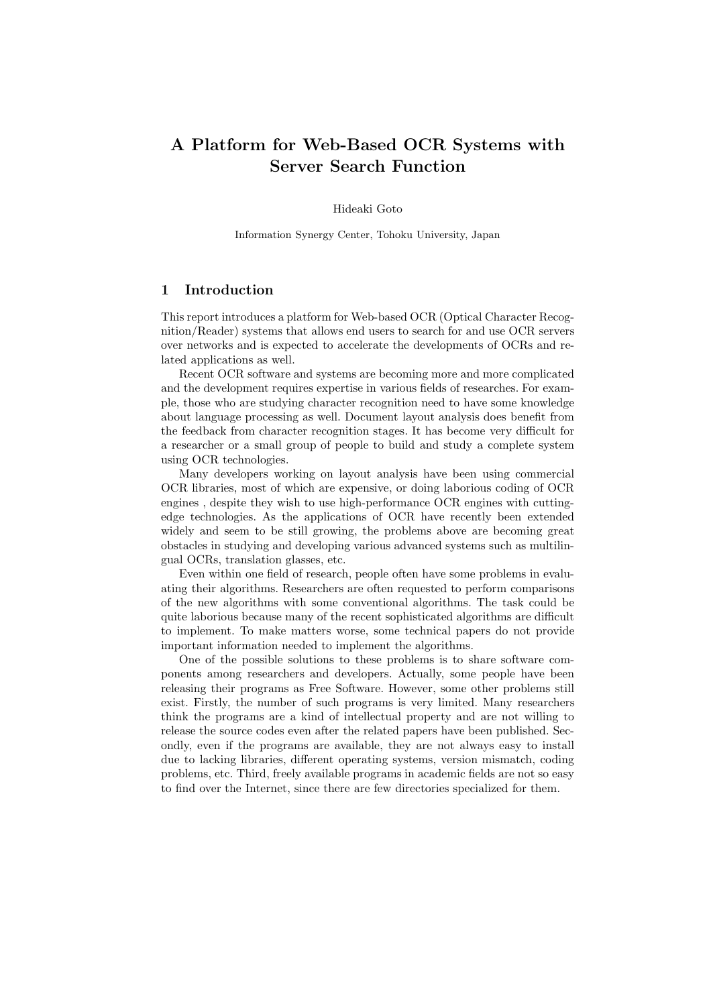# A Platform for Web-Based OCR Systems with Server Search Function

Hideaki Goto

Information Synergy Center, Tohoku University, Japan

#### 1 Introduction

This report introduces a platform for Web-based OCR (Optical Character Recognition/Reader) systems that allows end users to search for and use OCR servers over networks and is expected to accelerate the developments of OCRs and related applications as well.

Recent OCR software and systems are becoming more and more complicated and the development requires expertise in various fields of researches. For example, those who are studying character recognition need to have some knowledge about language processing as well. Document layout analysis does benefit from the feedback from character recognition stages. It has become very difficult for a researcher or a small group of people to build and study a complete system using OCR technologies.

Many developers working on layout analysis have been using commercial OCR libraries, most of which are expensive, or doing laborious coding of OCR engines , despite they wish to use high-performance OCR engines with cuttingedge technologies. As the applications of OCR have recently been extended widely and seem to be still growing, the problems above are becoming great obstacles in studying and developing various advanced systems such as multilingual OCRs, translation glasses, etc.

Even within one field of research, people often have some problems in evaluating their algorithms. Researchers are often requested to perform comparisons of the new algorithms with some conventional algorithms. The task could be quite laborious because many of the recent sophisticated algorithms are difficult to implement. To make matters worse, some technical papers do not provide important information needed to implement the algorithms.

One of the possible solutions to these problems is to share software components among researchers and developers. Actually, some people have been releasing their programs as Free Software. However, some other problems still exist. Firstly, the number of such programs is very limited. Many researchers think the programs are a kind of intellectual property and are not willing to release the source codes even after the related papers have been published. Secondly, even if the programs are available, they are not always easy to install due to lacking libraries, different operating systems, version mismatch, coding problems, etc. Third, freely available programs in academic fields are not so easy to find over the Internet, since there are few directories specialized for them.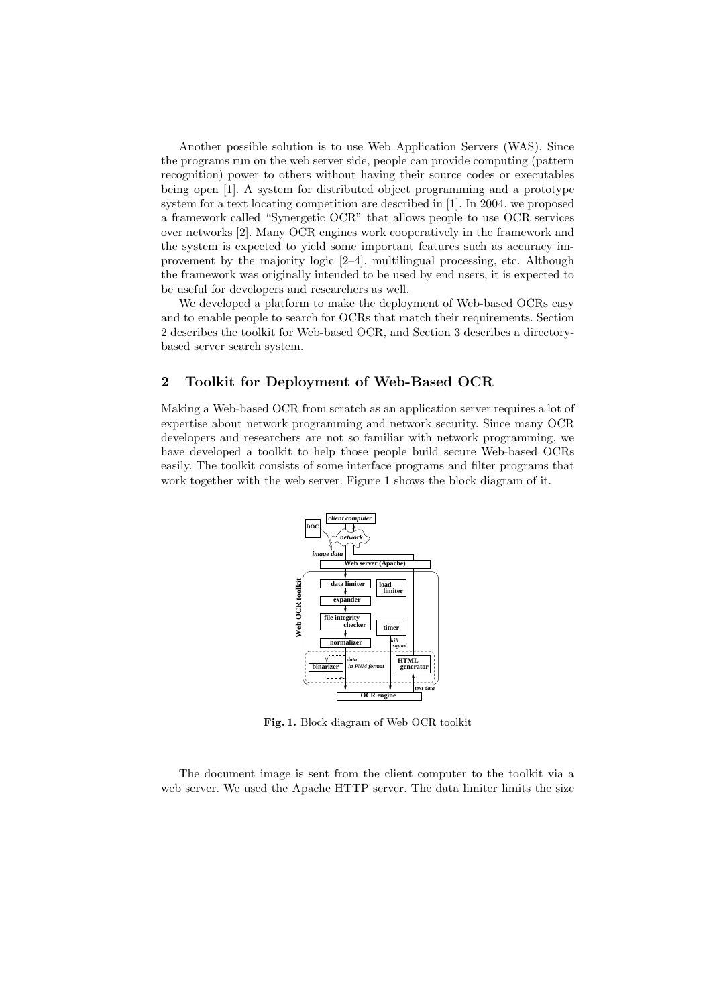Another possible solution is to use Web Application Servers (WAS). Since the programs run on the web server side, people can provide computing (pattern recognition) power to others without having their source codes or executables being open [1]. A system for distributed object programming and a prototype system for a text locating competition are described in [1]. In 2004, we proposed a framework called "Synergetic OCR" that allows people to use OCR services over networks [2]. Many OCR engines work cooperatively in the framework and the system is expected to yield some important features such as accuracy improvement by the majority logic [2–4], multilingual processing, etc. Although the framework was originally intended to be used by end users, it is expected to be useful for developers and researchers as well.

We developed a platform to make the deployment of Web-based OCRs easy and to enable people to search for OCRs that match their requirements. Section 2 describes the toolkit for Web-based OCR, and Section 3 describes a directorybased server search system.

### 2 Toolkit for Deployment of Web-Based OCR

Making a Web-based OCR from scratch as an application server requires a lot of expertise about network programming and network security. Since many OCR developers and researchers are not so familiar with network programming, we have developed a toolkit to help those people build secure Web-based OCRs easily. The toolkit consists of some interface programs and filter programs that work together with the web server. Figure 1 shows the block diagram of it.



Fig. 1. Block diagram of Web OCR toolkit

The document image is sent from the client computer to the toolkit via a web server. We used the Apache HTTP server. The data limiter limits the size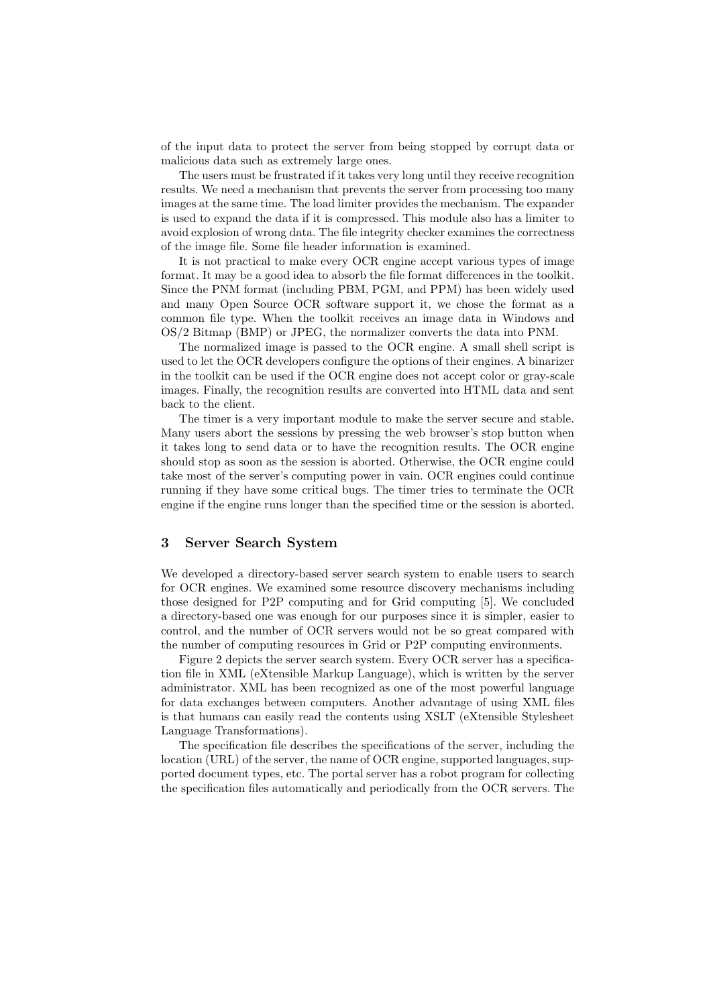of the input data to protect the server from being stopped by corrupt data or malicious data such as extremely large ones.

The users must be frustrated if it takes very long until they receive recognition results. We need a mechanism that prevents the server from processing too many images at the same time. The load limiter provides the mechanism. The expander is used to expand the data if it is compressed. This module also has a limiter to avoid explosion of wrong data. The file integrity checker examines the correctness of the image file. Some file header information is examined.

It is not practical to make every OCR engine accept various types of image format. It may be a good idea to absorb the file format differences in the toolkit. Since the PNM format (including PBM, PGM, and PPM) has been widely used and many Open Source OCR software support it, we chose the format as a common file type. When the toolkit receives an image data in Windows and OS/2 Bitmap (BMP) or JPEG, the normalizer converts the data into PNM.

The normalized image is passed to the OCR engine. A small shell script is used to let the OCR developers configure the options of their engines. A binarizer in the toolkit can be used if the OCR engine does not accept color or gray-scale images. Finally, the recognition results are converted into HTML data and sent back to the client.

The timer is a very important module to make the server secure and stable. Many users abort the sessions by pressing the web browser's stop button when it takes long to send data or to have the recognition results. The OCR engine should stop as soon as the session is aborted. Otherwise, the OCR engine could take most of the server's computing power in vain. OCR engines could continue running if they have some critical bugs. The timer tries to terminate the OCR engine if the engine runs longer than the specified time or the session is aborted.

#### 3 Server Search System

We developed a directory-based server search system to enable users to search for OCR engines. We examined some resource discovery mechanisms including those designed for P2P computing and for Grid computing [5]. We concluded a directory-based one was enough for our purposes since it is simpler, easier to control, and the number of OCR servers would not be so great compared with the number of computing resources in Grid or P2P computing environments.

Figure 2 depicts the server search system. Every OCR server has a specification file in XML (eXtensible Markup Language), which is written by the server administrator. XML has been recognized as one of the most powerful language for data exchanges between computers. Another advantage of using XML files is that humans can easily read the contents using XSLT (eXtensible Stylesheet Language Transformations).

The specification file describes the specifications of the server, including the location (URL) of the server, the name of OCR engine, supported languages, supported document types, etc. The portal server has a robot program for collecting the specification files automatically and periodically from the OCR servers. The